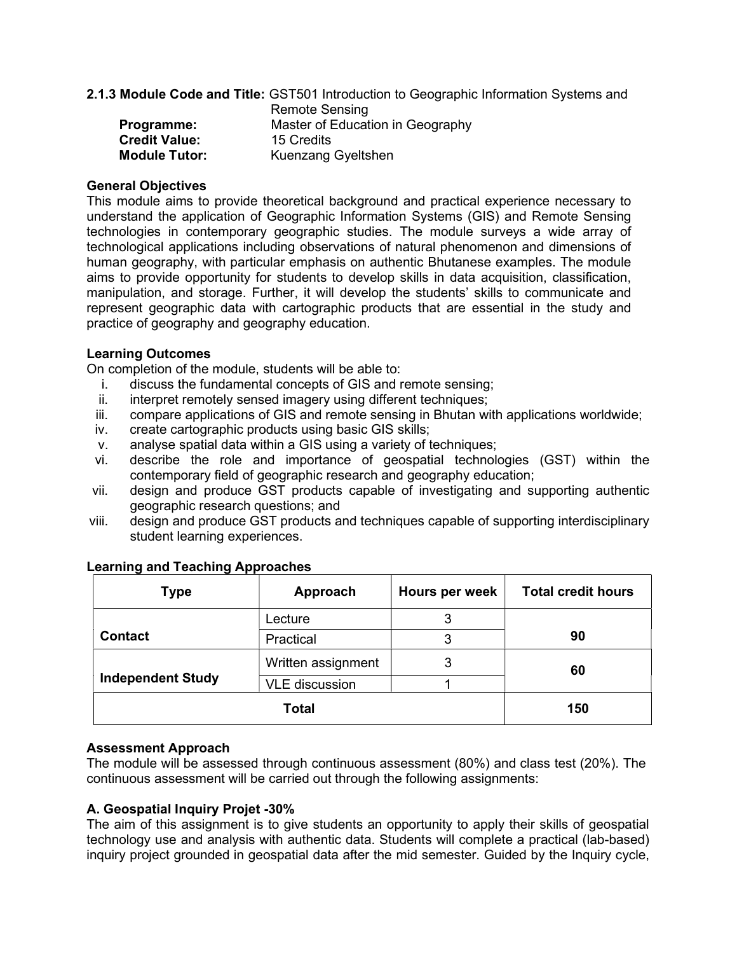2.1.3 Module Code and Title: GST501 Introduction to Geographic Information Systems and

|                      | <b>Remote Sensing</b>            |
|----------------------|----------------------------------|
| Programme:           | Master of Education in Geography |
| <b>Credit Value:</b> | 15 Credits                       |
| <b>Module Tutor:</b> | Kuenzang Gyeltshen               |

#### General Objectives

This module aims to provide theoretical background and practical experience necessary to understand the application of Geographic Information Systems (GIS) and Remote Sensing technologies in contemporary geographic studies. The module surveys a wide array of technological applications including observations of natural phenomenon and dimensions of human geography, with particular emphasis on authentic Bhutanese examples. The module aims to provide opportunity for students to develop skills in data acquisition, classification, manipulation, and storage. Further, it will develop the students' skills to communicate and represent geographic data with cartographic products that are essential in the study and practice of geography and geography education.

### Learning Outcomes

On completion of the module, students will be able to:

- i. discuss the fundamental concepts of GIS and remote sensing;
- ii. interpret remotely sensed imagery using different techniques;
- iii. compare applications of GIS and remote sensing in Bhutan with applications worldwide;
- iv. create cartographic products using basic GIS skills;
- v. analyse spatial data within a GIS using a variety of techniques;
- vi. describe the role and importance of geospatial technologies (GST) within the contemporary field of geographic research and geography education;
- vii. design and produce GST products capable of investigating and supporting authentic geographic research questions; and
- viii. design and produce GST products and techniques capable of supporting interdisciplinary student learning experiences.

| <b>Type</b>              | Approach              | Hours per week | <b>Total credit hours</b> |  |
|--------------------------|-----------------------|----------------|---------------------------|--|
|                          | Lecture               | 3              |                           |  |
| <b>Contact</b>           | Practical             |                | 90                        |  |
|                          | Written assignment    | 3              | 60                        |  |
| <b>Independent Study</b> | <b>VLE</b> discussion |                |                           |  |
|                          | 150                   |                |                           |  |

### Learning and Teaching Approaches

### Assessment Approach

The module will be assessed through continuous assessment (80%) and class test (20%). The continuous assessment will be carried out through the following assignments:

### A. Geospatial Inquiry Projet -30%

The aim of this assignment is to give students an opportunity to apply their skills of geospatial technology use and analysis with authentic data. Students will complete a practical (lab-based) inquiry project grounded in geospatial data after the mid semester. Guided by the Inquiry cycle,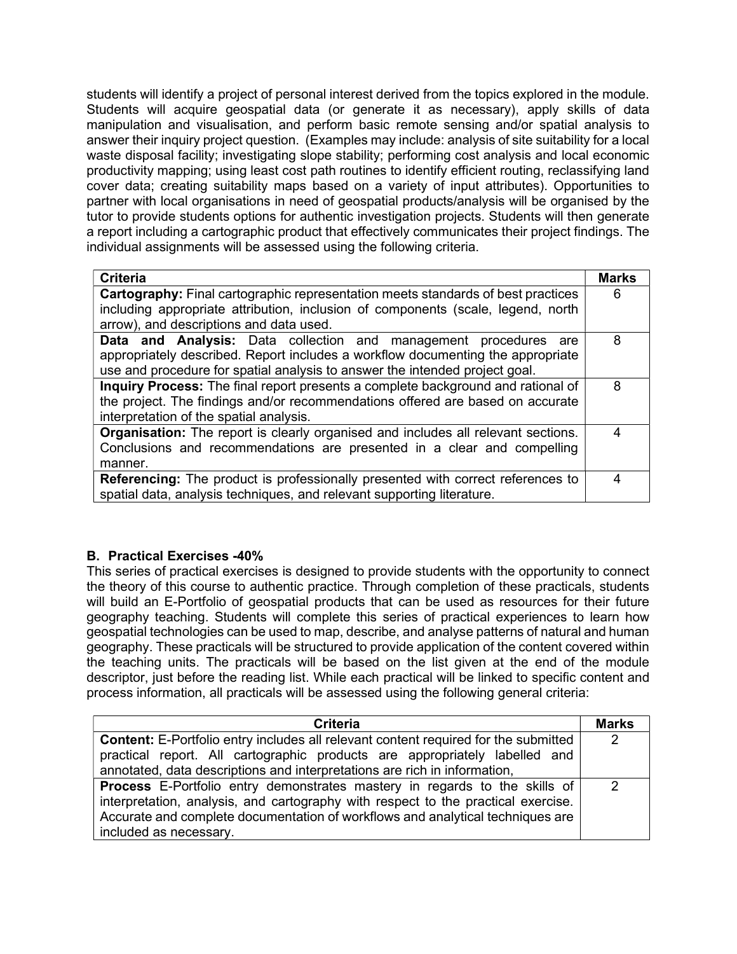students will identify a project of personal interest derived from the topics explored in the module. Students will acquire geospatial data (or generate it as necessary), apply skills of data manipulation and visualisation, and perform basic remote sensing and/or spatial analysis to answer their inquiry project question. (Examples may include: analysis of site suitability for a local waste disposal facility; investigating slope stability; performing cost analysis and local economic productivity mapping; using least cost path routines to identify efficient routing, reclassifying land cover data; creating suitability maps based on a variety of input attributes). Opportunities to partner with local organisations in need of geospatial products/analysis will be organised by the tutor to provide students options for authentic investigation projects. Students will then generate a report including a cartographic product that effectively communicates their project findings. The individual assignments will be assessed using the following criteria.

| <b>Criteria</b>                                                                          |   |  |
|------------------------------------------------------------------------------------------|---|--|
| <b>Cartography:</b> Final cartographic representation meets standards of best practices  |   |  |
| including appropriate attribution, inclusion of components (scale, legend, north         |   |  |
| arrow), and descriptions and data used.                                                  |   |  |
| <b>Data and Analysis:</b> Data collection and management procedures are                  | 8 |  |
| appropriately described. Report includes a workflow documenting the appropriate          |   |  |
| use and procedure for spatial analysis to answer the intended project goal.              |   |  |
| Inquiry Process: The final report presents a complete background and rational of         |   |  |
| the project. The findings and/or recommendations offered are based on accurate           |   |  |
| interpretation of the spatial analysis.                                                  |   |  |
| <b>Organisation:</b> The report is clearly organised and includes all relevant sections. |   |  |
| Conclusions and recommendations are presented in a clear and compelling                  |   |  |
| manner.                                                                                  |   |  |
| Referencing: The product is professionally presented with correct references to          |   |  |
| spatial data, analysis techniques, and relevant supporting literature.                   |   |  |

### B. Practical Exercises -40%

This series of practical exercises is designed to provide students with the opportunity to connect the theory of this course to authentic practice. Through completion of these practicals, students will build an E-Portfolio of geospatial products that can be used as resources for their future geography teaching. Students will complete this series of practical experiences to learn how geospatial technologies can be used to map, describe, and analyse patterns of natural and human geography. These practicals will be structured to provide application of the content covered within the teaching units. The practicals will be based on the list given at the end of the module descriptor, just before the reading list. While each practical will be linked to specific content and process information, all practicals will be assessed using the following general criteria:

| Criteria                                                                                   |  |  |
|--------------------------------------------------------------------------------------------|--|--|
| <b>Content:</b> E-Portfolio entry includes all relevant content required for the submitted |  |  |
| practical report. All cartographic products are appropriately labelled and                 |  |  |
| annotated, data descriptions and interpretations are rich in information,                  |  |  |
| <b>Process</b> E-Portfolio entry demonstrates mastery in regards to the skills of          |  |  |
| interpretation, analysis, and cartography with respect to the practical exercise.          |  |  |
| Accurate and complete documentation of workflows and analytical techniques are             |  |  |
| included as necessary.                                                                     |  |  |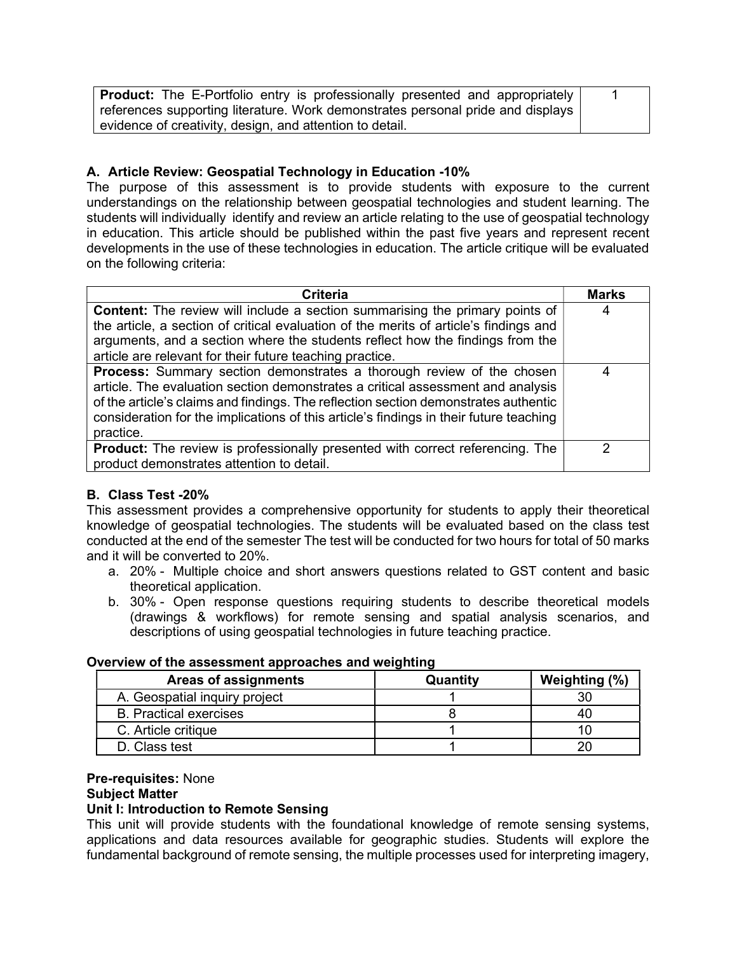| <b>Product:</b> The E-Portfolio entry is professionally presented and appropriately |  |  |
|-------------------------------------------------------------------------------------|--|--|
| references supporting literature. Work demonstrates personal pride and displays     |  |  |
| evidence of creativity, design, and attention to detail.                            |  |  |

### A. Article Review: Geospatial Technology in Education -10%

The purpose of this assessment is to provide students with exposure to the current understandings on the relationship between geospatial technologies and student learning. The students will individually identify and review an article relating to the use of geospatial technology in education. This article should be published within the past five years and represent recent developments in the use of these technologies in education. The article critique will be evaluated on the following criteria:

| <b>Criteria</b>                                                                                                                                                                                                                                                                                                                                        | <b>Marks</b> |  |
|--------------------------------------------------------------------------------------------------------------------------------------------------------------------------------------------------------------------------------------------------------------------------------------------------------------------------------------------------------|--------------|--|
| <b>Content:</b> The review will include a section summarising the primary points of                                                                                                                                                                                                                                                                    | 4            |  |
| the article, a section of critical evaluation of the merits of article's findings and                                                                                                                                                                                                                                                                  |              |  |
| arguments, and a section where the students reflect how the findings from the                                                                                                                                                                                                                                                                          |              |  |
| article are relevant for their future teaching practice.                                                                                                                                                                                                                                                                                               |              |  |
| Process: Summary section demonstrates a thorough review of the chosen<br>article. The evaluation section demonstrates a critical assessment and analysis<br>of the article's claims and findings. The reflection section demonstrates authentic<br>consideration for the implications of this article's findings in their future teaching<br>practice. |              |  |
| <b>Product:</b> The review is professionally presented with correct referencing. The<br>product demonstrates attention to detail.                                                                                                                                                                                                                      | າ            |  |

### B. Class Test -20%

This assessment provides a comprehensive opportunity for students to apply their theoretical knowledge of geospatial technologies. The students will be evaluated based on the class test conducted at the end of the semester The test will be conducted for two hours for total of 50 marks and it will be converted to 20%.

- a. 20% Multiple choice and short answers questions related to GST content and basic theoretical application.
- b. 30% Open response questions requiring students to describe theoretical models (drawings & workflows) for remote sensing and spatial analysis scenarios, and descriptions of using geospatial technologies in future teaching practice.

#### Overview of the assessment approaches and weighting

| Areas of assignments          | Quantity | Weighting (%) |
|-------------------------------|----------|---------------|
| A. Geospatial inquiry project |          |               |
| <b>B.</b> Practical exercises |          |               |
| C. Article critique           |          |               |
| D. Class test                 |          |               |

# Pre-requisites: None

#### Subject Matter

### Unit I: Introduction to Remote Sensing

This unit will provide students with the foundational knowledge of remote sensing systems, applications and data resources available for geographic studies. Students will explore the fundamental background of remote sensing, the multiple processes used for interpreting imagery,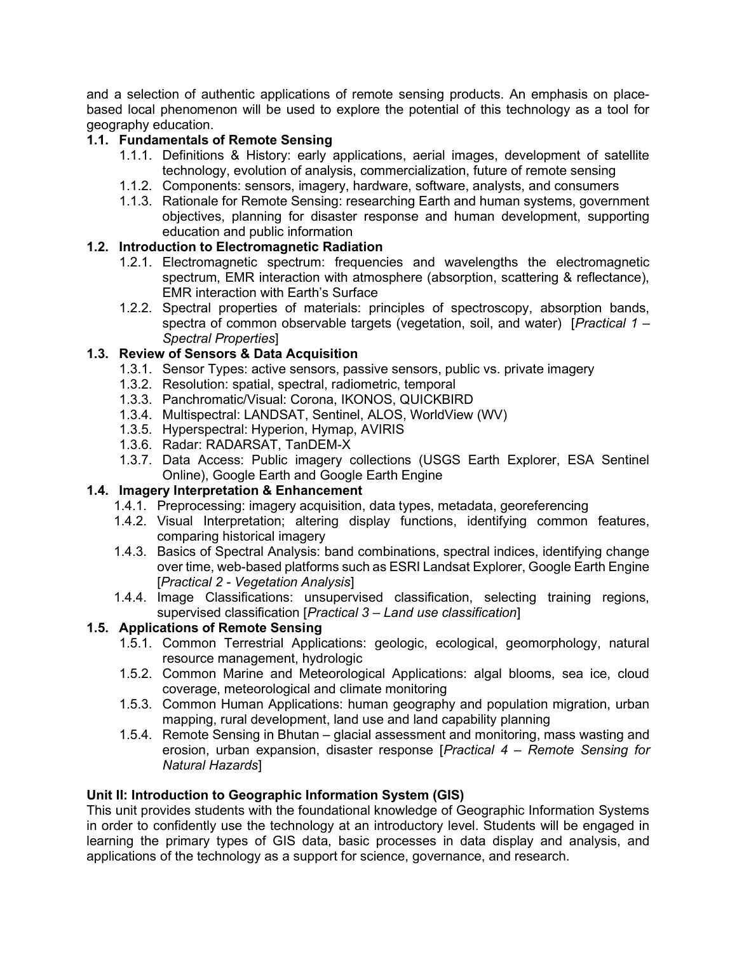and a selection of authentic applications of remote sensing products. An emphasis on placebased local phenomenon will be used to explore the potential of this technology as a tool for geography education.

## 1.1. Fundamentals of Remote Sensing

- 1.1.1. Definitions & History: early applications, aerial images, development of satellite technology, evolution of analysis, commercialization, future of remote sensing
- 1.1.2. Components: sensors, imagery, hardware, software, analysts, and consumers
- 1.1.3. Rationale for Remote Sensing: researching Earth and human systems, government objectives, planning for disaster response and human development, supporting education and public information

### 1.2. Introduction to Electromagnetic Radiation

- 1.2.1. Electromagnetic spectrum: frequencies and wavelengths the electromagnetic spectrum, EMR interaction with atmosphere (absorption, scattering & reflectance), EMR interaction with Earth's Surface
- 1.2.2. Spectral properties of materials: principles of spectroscopy, absorption bands, spectra of common observable targets (vegetation, soil, and water) [*Practical 1 –* Spectral Properties]

### 1.3. Review of Sensors & Data Acquisition

- 1.3.1. Sensor Types: active sensors, passive sensors, public vs. private imagery
- 1.3.2. Resolution: spatial, spectral, radiometric, temporal
- 1.3.3. Panchromatic/Visual: Corona, IKONOS, QUICKBIRD
- 1.3.4. Multispectral: LANDSAT, Sentinel, ALOS, WorldView (WV)
- 1.3.5. Hyperspectral: Hyperion, Hymap, AVIRIS
- 1.3.6. Radar: RADARSAT, TanDEM-X
- 1.3.7. Data Access: Public imagery collections (USGS Earth Explorer, ESA Sentinel Online), Google Earth and Google Earth Engine

# 1.4. Imagery Interpretation & Enhancement

- 1.4.1. Preprocessing: imagery acquisition, data types, metadata, georeferencing
- 1.4.2. Visual Interpretation; altering display functions, identifying common features, comparing historical imagery
- 1.4.3. Basics of Spectral Analysis: band combinations, spectral indices, identifying change over time, web-based platforms such as ESRI Landsat Explorer, Google Earth Engine [Practical 2 - Vegetation Analysis]
- 1.4.4. Image Classifications: unsupervised classification, selecting training regions, supervised classification [*Practical 3 – Land use classification*]

### 1.5. Applications of Remote Sensing

- 1.5.1. Common Terrestrial Applications: geologic, ecological, geomorphology, natural resource management, hydrologic
- 1.5.2. Common Marine and Meteorological Applications: algal blooms, sea ice, cloud coverage, meteorological and climate monitoring
- 1.5.3. Common Human Applications: human geography and population migration, urban mapping, rural development, land use and land capability planning
- 1.5.4. Remote Sensing in Bhutan glacial assessment and monitoring, mass wasting and erosion, urban expansion, disaster response [Practical 4 – Remote Sensing for Natural Hazards]

### Unit II: Introduction to Geographic Information System (GIS)

This unit provides students with the foundational knowledge of Geographic Information Systems in order to confidently use the technology at an introductory level. Students will be engaged in learning the primary types of GIS data, basic processes in data display and analysis, and applications of the technology as a support for science, governance, and research.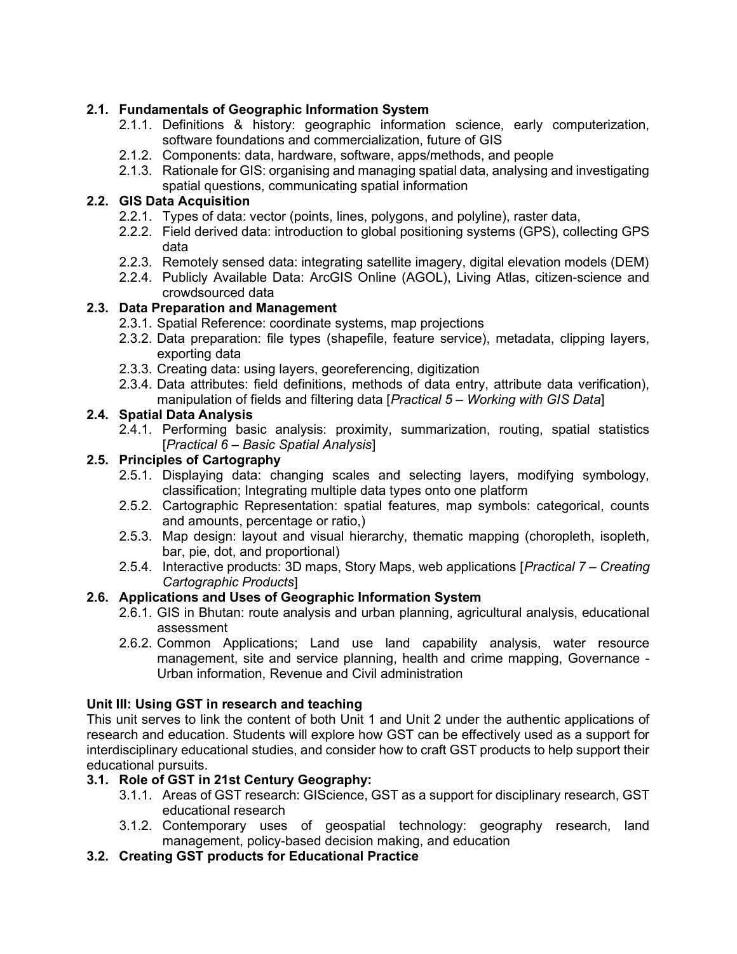# 2.1. Fundamentals of Geographic Information System

- 2.1.1. Definitions & history: geographic information science, early computerization, software foundations and commercialization, future of GIS
- 2.1.2. Components: data, hardware, software, apps/methods, and people
- 2.1.3. Rationale for GIS: organising and managing spatial data, analysing and investigating spatial questions, communicating spatial information

### 2.2. GIS Data Acquisition

- 2.2.1. Types of data: vector (points, lines, polygons, and polyline), raster data,
- 2.2.2. Field derived data: introduction to global positioning systems (GPS), collecting GPS data
- 2.2.3. Remotely sensed data: integrating satellite imagery, digital elevation models (DEM)
- 2.2.4. Publicly Available Data: ArcGIS Online (AGOL), Living Atlas, citizen-science and crowdsourced data

### 2.3. Data Preparation and Management

- 2.3.1. Spatial Reference: coordinate systems, map projections
- 2.3.2. Data preparation: file types (shapefile, feature service), metadata, clipping layers, exporting data
- 2.3.3. Creating data: using layers, georeferencing, digitization
- 2.3.4. Data attributes: field definitions, methods of data entry, attribute data verification), manipulation of fields and filtering data [Practical 5 – Working with GIS Data]

### 2.4. Spatial Data Analysis

2.4.1. Performing basic analysis: proximity, summarization, routing, spatial statistics [Practical 6 – Basic Spatial Analysis]

### 2.5. Principles of Cartography

- 2.5.1. Displaying data: changing scales and selecting layers, modifying symbology, classification; Integrating multiple data types onto one platform
- 2.5.2. Cartographic Representation: spatial features, map symbols: categorical, counts and amounts, percentage or ratio,)
- 2.5.3. Map design: layout and visual hierarchy, thematic mapping (choropleth, isopleth, bar, pie, dot, and proportional)
- 2.5.4. Interactive products: 3D maps, Story Maps, web applications [Practical 7 Creating Cartographic Products]

### 2.6. Applications and Uses of Geographic Information System

- 2.6.1. GIS in Bhutan: route analysis and urban planning, agricultural analysis, educational assessment
- 2.6.2. Common Applications; Land use land capability analysis, water resource management, site and service planning, health and crime mapping, Governance - Urban information, Revenue and Civil administration

### Unit III: Using GST in research and teaching

This unit serves to link the content of both Unit 1 and Unit 2 under the authentic applications of research and education. Students will explore how GST can be effectively used as a support for interdisciplinary educational studies, and consider how to craft GST products to help support their educational pursuits.

### 3.1. Role of GST in 21st Century Geography:

- 3.1.1. Areas of GST research: GIScience, GST as a support for disciplinary research, GST educational research
- 3.1.2. Contemporary uses of geospatial technology: geography research, land management, policy-based decision making, and education
- 3.2. Creating GST products for Educational Practice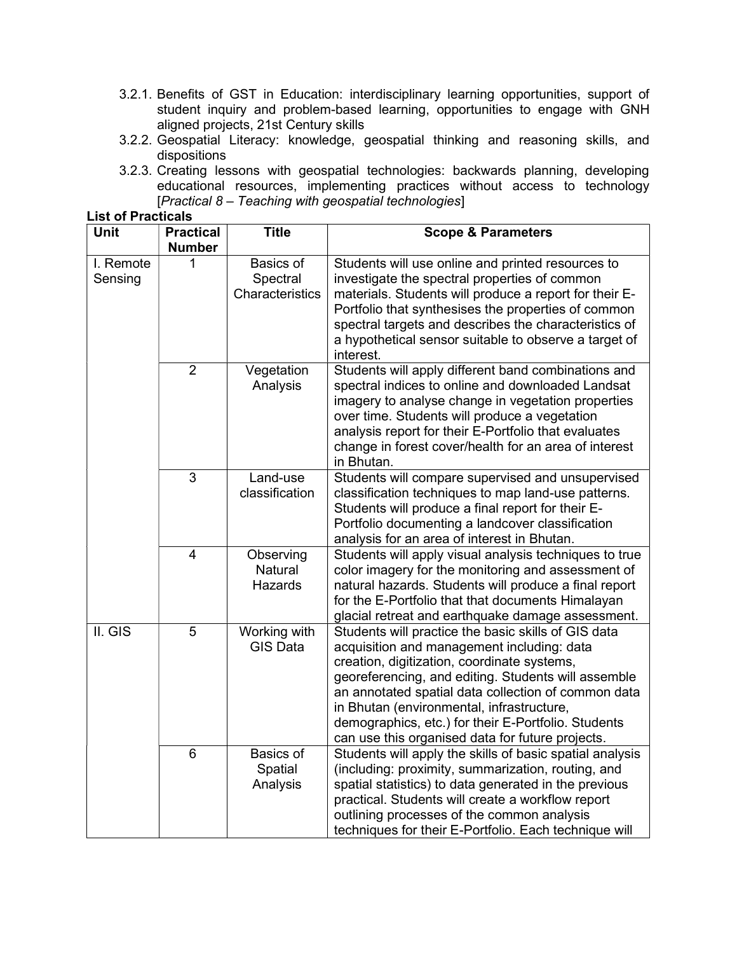- 3.2.1. Benefits of GST in Education: interdisciplinary learning opportunities, support of student inquiry and problem-based learning, opportunities to engage with GNH aligned projects, 21st Century skills
- 3.2.2. Geospatial Literacy: knowledge, geospatial thinking and reasoning skills, and dispositions
- 3.2.3. Creating lessons with geospatial technologies: backwards planning, developing educational resources, implementing practices without access to technology  $[Practical 8 - Teaching with geospatial technologies]$

| <b>List of Practicals</b> |                                   |                                          |                                                                                                                                                                                                                                                                                                                                                                                                                        |
|---------------------------|-----------------------------------|------------------------------------------|------------------------------------------------------------------------------------------------------------------------------------------------------------------------------------------------------------------------------------------------------------------------------------------------------------------------------------------------------------------------------------------------------------------------|
| <b>Unit</b>               | <b>Practical</b><br><b>Number</b> | <b>Title</b>                             | <b>Scope &amp; Parameters</b>                                                                                                                                                                                                                                                                                                                                                                                          |
| I. Remote<br>Sensing      | 1                                 | Basics of<br>Spectral<br>Characteristics | Students will use online and printed resources to<br>investigate the spectral properties of common<br>materials. Students will produce a report for their E-<br>Portfolio that synthesises the properties of common<br>spectral targets and describes the characteristics of<br>a hypothetical sensor suitable to observe a target of<br>interest.                                                                     |
|                           | $\overline{2}$                    | Vegetation<br>Analysis                   | Students will apply different band combinations and<br>spectral indices to online and downloaded Landsat<br>imagery to analyse change in vegetation properties<br>over time. Students will produce a vegetation<br>analysis report for their E-Portfolio that evaluates<br>change in forest cover/health for an area of interest<br>in Bhutan.                                                                         |
|                           | 3                                 | Land-use<br>classification               | Students will compare supervised and unsupervised<br>classification techniques to map land-use patterns.<br>Students will produce a final report for their E-<br>Portfolio documenting a landcover classification<br>analysis for an area of interest in Bhutan.                                                                                                                                                       |
|                           | 4                                 | Observing<br>Natural<br>Hazards          | Students will apply visual analysis techniques to true<br>color imagery for the monitoring and assessment of<br>natural hazards. Students will produce a final report<br>for the E-Portfolio that that documents Himalayan<br>glacial retreat and earthquake damage assessment.                                                                                                                                        |
| II. GIS                   | 5                                 | Working with<br><b>GIS Data</b>          | Students will practice the basic skills of GIS data<br>acquisition and management including: data<br>creation, digitization, coordinate systems,<br>georeferencing, and editing. Students will assemble<br>an annotated spatial data collection of common data<br>in Bhutan (environmental, infrastructure,<br>demographics, etc.) for their E-Portfolio. Students<br>can use this organised data for future projects. |
|                           | 6                                 | <b>Basics of</b><br>Spatial<br>Analysis  | Students will apply the skills of basic spatial analysis<br>(including: proximity, summarization, routing, and<br>spatial statistics) to data generated in the previous<br>practical. Students will create a workflow report<br>outlining processes of the common analysis<br>techniques for their E-Portfolio. Each technique will                                                                                    |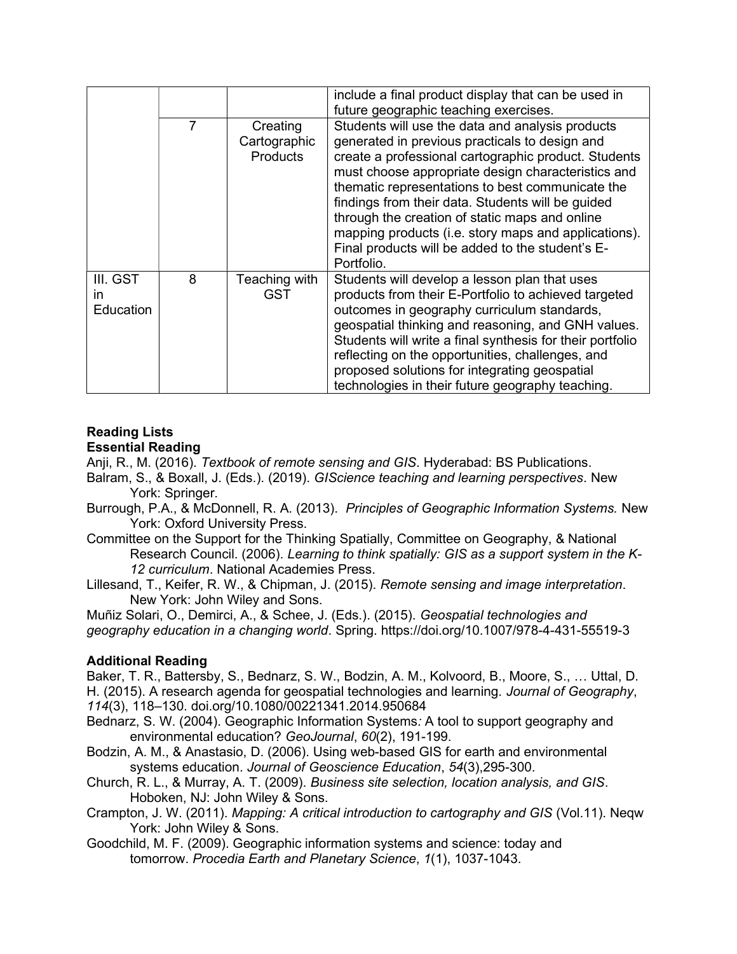|                             |   |                                             | include a final product display that can be used in<br>future geographic teaching exercises.                                                                                                                                                                                                                                                                                                                                                                                                          |
|-----------------------------|---|---------------------------------------------|-------------------------------------------------------------------------------------------------------------------------------------------------------------------------------------------------------------------------------------------------------------------------------------------------------------------------------------------------------------------------------------------------------------------------------------------------------------------------------------------------------|
|                             | 7 | Creating<br>Cartographic<br><b>Products</b> | Students will use the data and analysis products<br>generated in previous practicals to design and<br>create a professional cartographic product. Students<br>must choose appropriate design characteristics and<br>thematic representations to best communicate the<br>findings from their data. Students will be guided<br>through the creation of static maps and online<br>mapping products (i.e. story maps and applications).<br>Final products will be added to the student's E-<br>Portfolio. |
| III. GST<br>in<br>Education | 8 | Teaching with<br><b>GST</b>                 | Students will develop a lesson plan that uses<br>products from their E-Portfolio to achieved targeted<br>outcomes in geography curriculum standards,<br>geospatial thinking and reasoning, and GNH values.<br>Students will write a final synthesis for their portfolio<br>reflecting on the opportunities, challenges, and<br>proposed solutions for integrating geospatial<br>technologies in their future geography teaching.                                                                      |

#### Reading Lists Essential Reading

Anji, R., M. (2016). Textbook of remote sensing and GIS. Hyderabad: BS Publications.

- Balram, S., & Boxall, J. (Eds.). (2019). GIScience teaching and learning perspectives. New York: Springer.
- Burrough, P.A., & McDonnell, R. A. (2013). Principles of Geographic Information Systems. New York: Oxford University Press.
- Committee on the Support for the Thinking Spatially, Committee on Geography, & National Research Council. (2006). Learning to think spatially: GIS as a support system in the K-12 curriculum. National Academies Press.
- Lillesand, T., Keifer, R. W., & Chipman, J. (2015). Remote sensing and image interpretation. New York: John Wiley and Sons.

Muñiz Solari, O., Demirci, A., & Schee, J. (Eds.). (2015). Geospatial technologies and geography education in a changing world. Spring. https://doi.org/10.1007/978-4-431-55519-3

# Additional Reading

Baker, T. R., Battersby, S., Bednarz, S. W., Bodzin, A. M., Kolvoord, B., Moore, S., … Uttal, D. H. (2015). A research agenda for geospatial technologies and learning. Journal of Geography, 114(3), 118–130. doi.org/10.1080/00221341.2014.950684

- Bednarz, S. W. (2004). Geographic Information Systems: A tool to support geography and environmental education? GeoJournal, 60(2), 191-199.
- Bodzin, A. M., & Anastasio, D. (2006). Using web-based GIS for earth and environmental systems education. Journal of Geoscience Education, 54(3),295-300.
- Church, R. L., & Murray, A. T. (2009). Business site selection, location analysis, and GIS. Hoboken, NJ: John Wiley & Sons.
- Crampton, J. W. (2011). Mapping: A critical introduction to cartography and GIS (Vol.11). Neqw York: John Wiley & Sons.
- Goodchild, M. F. (2009). Geographic information systems and science: today and tomorrow. Procedia Earth and Planetary Science, 1(1), 1037-1043.